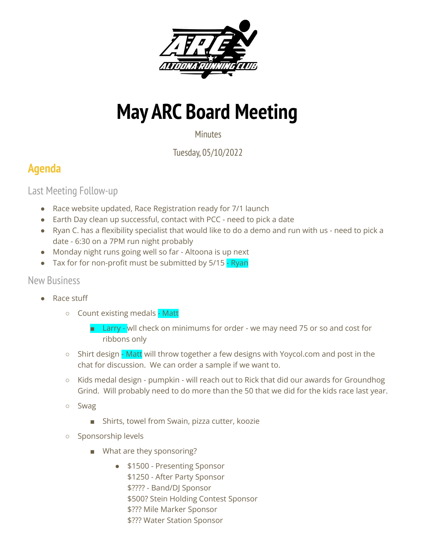

## **May ARC Board Meeting**

**Minutes** 

Tuesday, 05/10/2022

## **Agenda**

Last Meeting Follow-up

- Race website updated, Race Registration ready for 7/1 launch
- Earth Day clean up successful, contact with PCC need to pick a date
- Ryan C. has a flexibility specialist that would like to do a demo and run with us need to pick a date - 6:30 on a 7PM run night probably
- Monday night runs going well so far Altoona is up next
- Tax for for non-profit must be submitted by 5/15 Ryan

## New Business

- Race stuff
	- Count existing medals Matt
		- Larry wll check on minimums for order we may need 75 or so and cost for ribbons only
	- $\circ$  Shirt design Matt will throw together a few designs with Yoycol.com and post in the chat for discussion. We can order a sample if we want to.
	- Kids medal design pumpkin will reach out to Rick that did our awards for Groundhog Grind. Will probably need to do more than the 50 that we did for the kids race last year.
	- Swag
		- Shirts, towel from Swain, pizza cutter, koozie
	- Sponsorship levels
		- What are they sponsoring?
			- \$1500 Presenting Sponsor \$1250 - After Party Sponsor \$???? - Band/DJ Sponsor \$500? Stein Holding Contest Sponsor \$??? Mile Marker Sponsor \$??? Water Station Sponsor